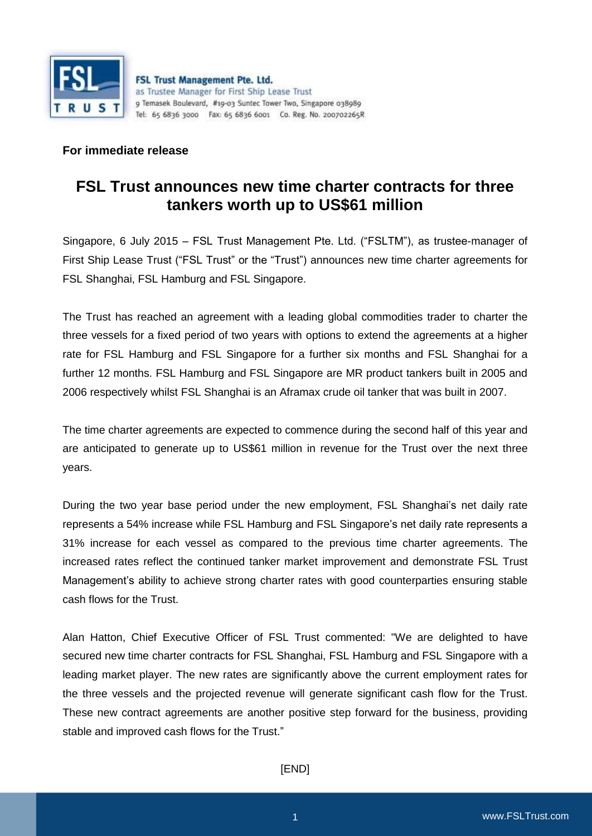

## **For immediate release**

## **FSL Trust announces new time charter contracts for three tankers worth up to US\$61 million**

Singapore, 6 July 2015 – FSL Trust Management Pte. Ltd. ("FSLTM"), as trustee-manager of First Ship Lease Trust ("FSL Trust" or the "Trust") announces new time charter agreements for FSL Shanghai, FSL Hamburg and FSL Singapore.

The Trust has reached an agreement with a leading global commodities trader to charter the three vessels for a fixed period of two years with options to extend the agreements at a higher rate for FSL Hamburg and FSL Singapore for a further six months and FSL Shanghai for a further 12 months. FSL Hamburg and FSL Singapore are MR product tankers built in 2005 and 2006 respectively whilst FSL Shanghai is an Aframax crude oil tanker that was built in 2007.

The time charter agreements are expected to commence during the second half of this year and are anticipated to generate up to US\$61 million in revenue for the Trust over the next three years.

During the two year base period under the new employment, FSL Shanghai's net daily rate represents a 54% increase while FSL Hamburg and FSL Singapore's net daily rate represents a 31% increase for each vessel as compared to the previous time charter agreements. The increased rates reflect the continued tanker market improvement and demonstrate FSL Trust Management's ability to achieve strong charter rates with good counterparties ensuring stable cash flows for the Trust.

Alan Hatton, Chief Executive Officer of FSL Trust commented: "We are delighted to have secured new time charter contracts for FSL Shanghai, FSL Hamburg and FSL Singapore with a leading market player. The new rates are significantly above the current employment rates for the three vessels and the projected revenue will generate significant cash flow for the Trust. These new contract agreements are another positive step forward for the business, providing stable and improved cash flows for the Trust."

[END]